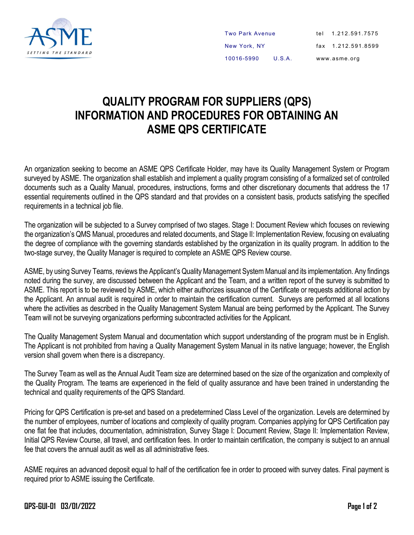

tel 1.212.591.7575 fax 1.212.591.8599 www. asme.org Two Park Avenue New York, NY 10016-5990 U.S.A.

## QUALITY PROGRAM FOR SUPPLIERS (QPS) INFORMATION AND PROCEDURES FOR OBTAINING AN ASME QPS CERTIFICATE

An organization seeking to become an ASME QPS Certificate Holder, may have its Quality Management System or Program surveyed by ASME. The organization shall establish and implement a quality program consisting of a formalized set of controlled documents such as a Quality Manual, procedures, instructions, forms and other discretionary documents that address the 17 essential requirements outlined in the QPS standard and that provides on a consistent basis, products satisfying the specified requirements in a technical job file.

The organization will be subjected to a Survey comprised of two stages. Stage I: Document Review which focuses on reviewing the organization's QMS Manual, procedures and related documents, and Stage II: Implementation Review, focusing on evaluating the degree of compliance with the governing standards established by the organization in its quality program. In addition to the two-stage survey, the Quality Manager is required to complete an ASME QPS Review course.

ASME, by using Survey Teams, reviews the Applicant's Quality Management System Manual and its implementation. Any findings noted during the survey, are discussed between the Applicant and the Team, and a written report of the survey is submitted to ASME. This report is to be reviewed by ASME, which either authorizes issuance of the Certificate or requests additional action by the Applicant. An annual audit is required in order to maintain the certification current. Surveys are performed at all locations where the activities as described in the Quality Management System Manual are being performed by the Applicant. The Survey Team will not be surveying organizations performing subcontracted activities for the Applicant.

The Quality Management System Manual and documentation which support understanding of the program must be in English. The Applicant is not prohibited from having a Quality Management System Manual in its native language; however, the English version shall govern when there is a discrepancy.

The Survey Team as well as the Annual Audit Team size are determined based on the size of the organization and complexity of the Quality Program. The teams are experienced in the field of quality assurance and have been trained in understanding the technical and quality requirements of the QPS Standard.

Pricing for QPS Certification is pre-set and based on a predetermined Class Level of the organization. Levels are determined by the number of employees, number of locations and complexity of quality program. Companies applying for QPS Certification pay one flat fee that includes, documentation, administration, Survey Stage I: Document Review, Stage II: Implementation Review, Initial QPS Review Course, all travel, and certification fees. In order to maintain certification, the company is subject to an annual fee that covers the annual audit as well as all administrative fees.

ASME requires an advanced deposit equal to half of the certification fee in order to proceed with survey dates. Final payment is required prior to ASME issuing the Certificate.